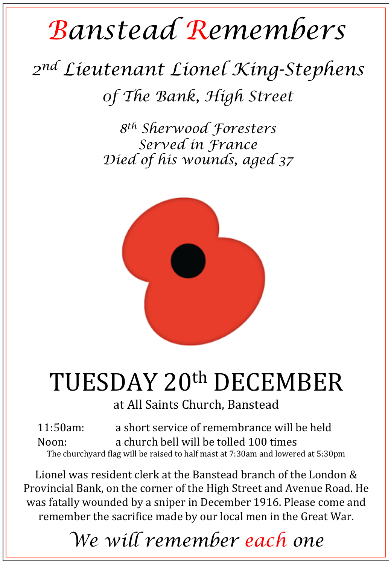# *Banstead Remembers*

## *2nd Lieutenant Lionel King-Stephens 0f The Bank, High Street*

*8th Sherwood Foresters Served in France Died of his wounds, aged 37* 



## TUESDAY 20th DECEMBER

at All Saints Church, Banstead

11:50am: a short service of remembrance will be held Noon: a church bell will be tolled 100 times The churchyard flag will be raised to half mast at  $7:30$ am and lowered at  $5:30$ pm

Lionel was resident clerk at the Banstead branch of the London & Provincial Bank, on the corner of the High Street and Avenue Road. He was fatally wounded by a sniper in December 1916. Please come and remember the sacrifice made by our local men in the Great War.

### *We will remember each one*